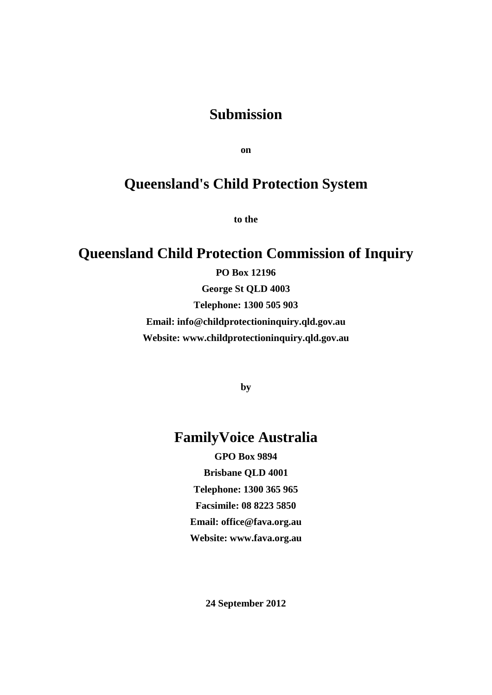### **Submission**

**on**

# **Queensland's Child Protection System**

**to the**

# **Queensland Child Protection Commission of Inquiry**

**PO Box 12196 George St QLD 4003 Telephone: 1300 505 903 Email: info@childprotectioninquiry.qld.gov.au Website: www.childprotectioninquiry.qld.gov.au**

**by**

## **FamilyVoice Australia**

**GPO Box 9894 Brisbane QLD 4001 Telephone: 1300 365 965 Facsimile: 08 8223 5850 Email: office@fava.org.au Website: www.fava.org.au**

**24 September 2012**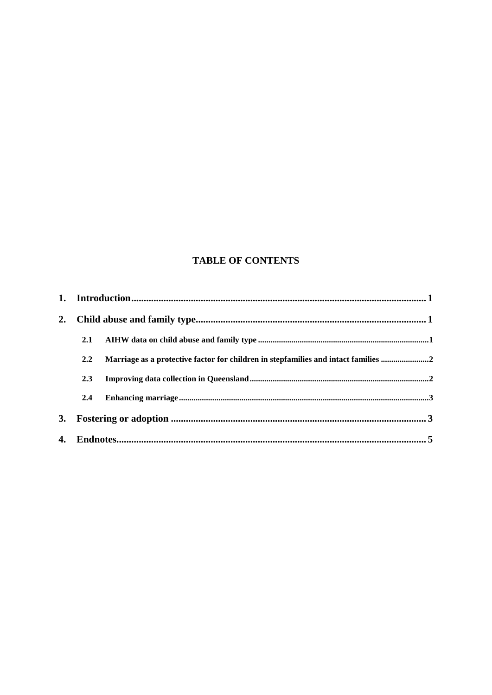### **TABLE OF CONTENTS**

| 2. |     |                                                                                    |  |  |  |
|----|-----|------------------------------------------------------------------------------------|--|--|--|
|    | 2.1 |                                                                                    |  |  |  |
|    | 2.2 | Marriage as a protective factor for children in stepfamilies and intact families 2 |  |  |  |
|    | 2.3 |                                                                                    |  |  |  |
|    | 2.4 |                                                                                    |  |  |  |
| 3. |     |                                                                                    |  |  |  |
|    |     |                                                                                    |  |  |  |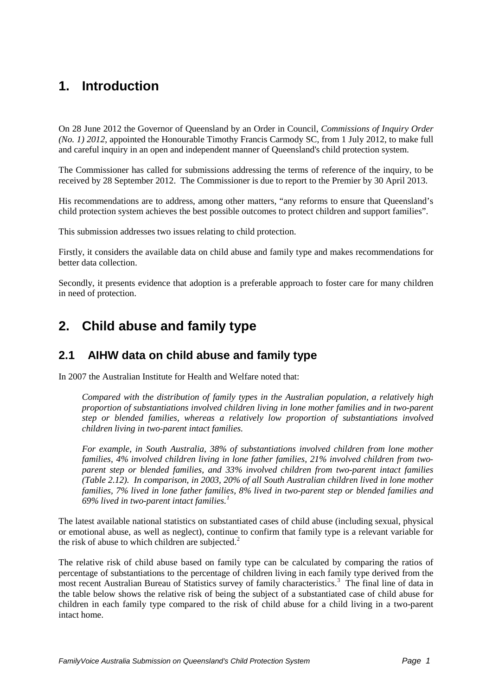# <span id="page-2-0"></span>**1. Introduction**

On 28 June 2012 the Governor of Queensland by an Order in Council, *Commissions of Inquiry Order (No. 1) 2012*, appointed the Honourable Timothy Francis Carmody SC, from 1 July 2012, to make full and careful inquiry in an open and independent manner of Queensland's child protection system.

The Commissioner has called for submissions addressing the terms of reference of the inquiry, to be received by 28 September 2012. The Commissioner is due to report to the Premier by 30 April 2013.

His recommendations are to address, among other matters, "any reforms to ensure that Queensland's child protection system achieves the best possible outcomes to protect children and support families".

This submission addresses two issues relating to child protection.

Firstly, it considers the available data on child abuse and family type and makes recommendations for better data collection.

Secondly, it presents evidence that adoption is a preferable approach to foster care for many children in need of protection.

## <span id="page-2-2"></span><span id="page-2-1"></span>**2. Child abuse and family type**

#### **2.1 AIHW data on child abuse and family type**

In 2007 the Australian Institute for Health and Welfare noted that:

*Compared with the distribution of family types in the Australian population, a relatively high proportion of substantiations involved children living in lone mother families and in two-parent step or blended families, whereas a relatively low proportion of substantiations involved children living in two-parent intact families.* 

*For example, in South Australia, 38% of substantiations involved children from lone mother families, 4% involved children living in lone father families, 21% involved children from twoparent step or blended families, and 33% involved children from two-parent intact families (Table 2.12). In comparison, in 2003, 20% of all South Australian children lived in lone mother families, 7% lived in lone father families, 8% lived in two-parent step or blended families and 69% lived in two-parent intact families.[1](#page-6-1)*

The latest available national statistics on substantiated cases of child abuse (including sexual, physical or emotional abuse, as well as neglect), continue to confirm that family type is a relevant variable for the risk of abuse to which children are subjected. $2$ 

The relative risk of child abuse based on family type can be calculated by comparing the ratios of percentage of substantiations to the percentage of children living in each family type derived from the most recent Australian Bureau of Statistics survey of family characteristics.<sup>[3](#page-6-3)</sup> The final line of data in the table below shows the relative risk of being the subject of a substantiated case of child abuse for children in each family type compared to the risk of child abuse for a child living in a two-parent intact home.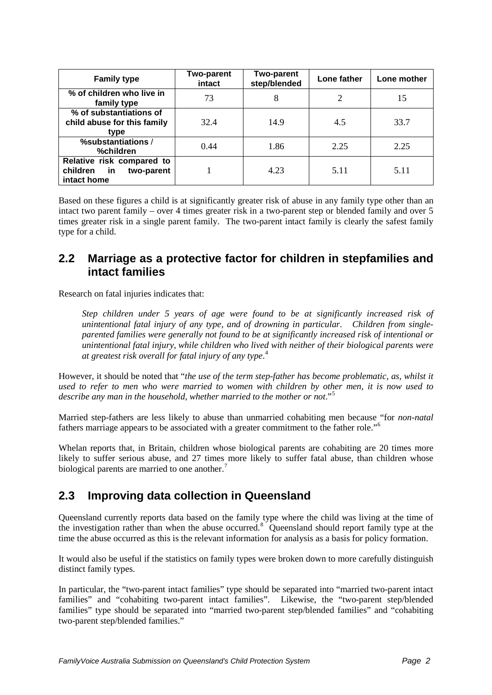| <b>Family type</b>                                                       | <b>Two-parent</b><br>intact | <b>Two-parent</b><br>step/blended | Lone father | Lone mother |
|--------------------------------------------------------------------------|-----------------------------|-----------------------------------|-------------|-------------|
| % of children who live in<br>family type                                 | 73                          | 8                                 | 2           | 15          |
| % of substantiations of<br>child abuse for this family<br>type           | 32.4                        | 14.9                              | 4.5         | 33.7        |
| %substantiations /<br>%children                                          | 0.44                        | 1.86                              | 2.25        | 2.25        |
| Relative risk compared to<br>in<br>children<br>two-parent<br>intact home |                             | 4.23                              | 5.11        | 5.11        |

Based on these figures a child is at significantly greater risk of abuse in any family type other than an intact two parent family – over 4 times greater risk in a two-parent step or blended family and over 5 times greater risk in a single parent family. The two-parent intact family is clearly the safest family type for a child.

#### <span id="page-3-0"></span>**2.2 Marriage as a protective factor for children in stepfamilies and intact families**

Research on fatal injuries indicates that:

*Step children under 5 years of age were found to be at significantly increased risk of unintentional fatal injury of any type, and of drowning in particular. Children from singleparented families were generally not found to be at significantly increased risk of intentional or unintentional fatal injury, while children who lived with neither of their biological parents were at greatest risk overall for fatal injury of any type*. [4](#page-6-4)

However, it should be noted that "*the use of the term step-father has become problematic, as, whilst it used to refer to men who were married to women with children by other men, it is now used to describe any man in the household, whether married to the mother or not*."[5](#page-6-5)

Married step-fathers are less likely to abuse than unmarried cohabiting men because "for *non-natal* fathers marriage appears to be associated with a greater commitment to the father role."[6](#page-6-6)

Whelan reports that, in Britain, children whose biological parents are cohabiting are 20 times more likely to suffer serious abuse, and 27 times more likely to suffer fatal abuse, than children whose biological parents are married to one another.<sup>[7](#page-6-7)</sup>

### <span id="page-3-1"></span>**2.3 Improving data collection in Queensland**

Queensland currently reports data based on the family type where the child was living at the time of the investigation rather than when the abuse occurred.<sup>[8](#page-6-8)</sup> Queensland should report family type at the time the abuse occurred as this is the relevant information for analysis as a basis for policy formation.

It would also be useful if the statistics on family types were broken down to more carefully distinguish distinct family types.

In particular, the "two-parent intact families" type should be separated into "married two-parent intact families" and "cohabiting two-parent intact families". Likewise, the "two-parent step/blended families" type should be separated into "married two-parent step/blended families" and "cohabiting two-parent step/blended families."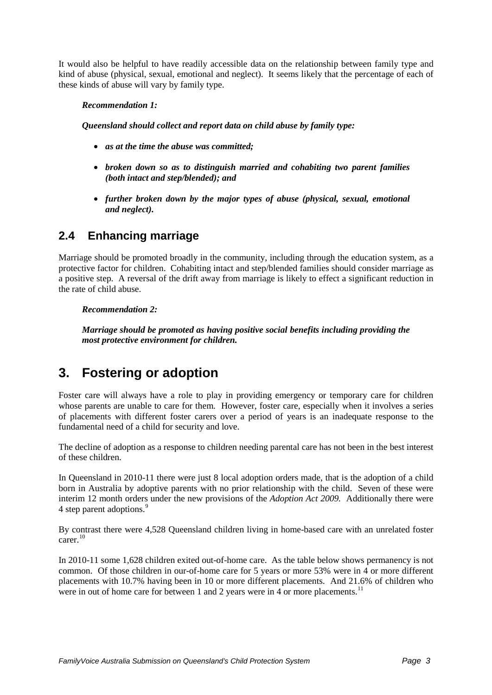It would also be helpful to have readily accessible data on the relationship between family type and kind of abuse (physical, sexual, emotional and neglect). It seems likely that the percentage of each of these kinds of abuse will vary by family type.

#### *Recommendation 1:*

*Queensland should collect and report data on child abuse by family type:*

- *as at the time the abuse was committed;*
- *broken down so as to distinguish married and cohabiting two parent families (both intact and step/blended); and*
- *further broken down by the major types of abuse (physical, sexual, emotional and neglect).*

### <span id="page-4-0"></span>**2.4 Enhancing marriage**

Marriage should be promoted broadly in the community, including through the education system, as a protective factor for children. Cohabiting intact and step/blended families should consider marriage as a positive step. A reversal of the drift away from marriage is likely to effect a significant reduction in the rate of child abuse.

#### *Recommendation 2:*

*Marriage should be promoted as having positive social benefits including providing the most protective environment for children.*

## <span id="page-4-1"></span>**3. Fostering or adoption**

Foster care will always have a role to play in providing emergency or temporary care for children whose parents are unable to care for them. However, foster care, especially when it involves a series of placements with different foster carers over a period of years is an inadequate response to the fundamental need of a child for security and love.

The decline of adoption as a response to children needing parental care has not been in the best interest of these children.

In Queensland in 2010-11 there were just 8 local adoption orders made, that is the adoption of a child born in Australia by adoptive parents with no prior relationship with the child. Seven of these were interim 12 month orders under the new provisions of the *Adoption Act 2009.* Additionally there were 4 step parent adoptions.<sup>[9](#page-6-9)</sup>

By contrast there were 4,528 Queensland children living in home-based care with an unrelated foster  $c \arctan \frac{10}{10}$  $c \arctan \frac{10}{10}$  $c \arctan \frac{10}{10}$ 

In 2010-11 some 1,628 children exited out-of-home care. As the table below shows permanency is not common. Of those children in our-of-home care for 5 years or more 53% were in 4 or more different placements with 10.7% having been in 10 or more different placements. And 21.6% of children who were in out of home care for between 1 and 2 years were in 4 or more placements.<sup>[11](#page-6-11)</sup>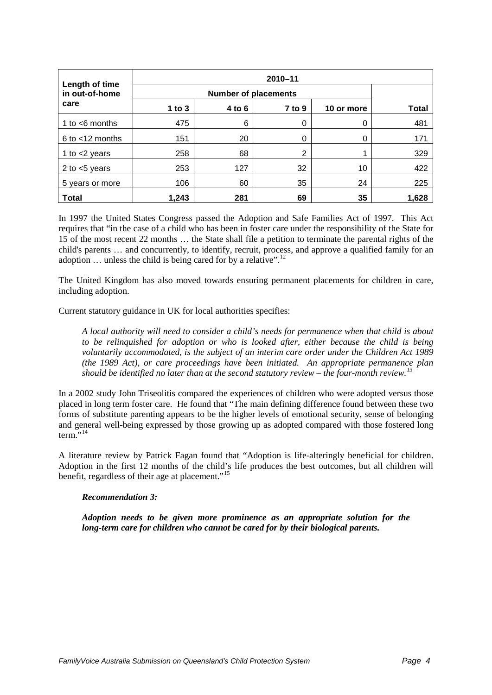| Length of time       | $2010 - 11$ |          |            |            |       |  |
|----------------------|-------------|----------|------------|------------|-------|--|
| in out-of-home       |             |          |            |            |       |  |
| care                 | $1$ to $3$  | $4$ to 6 | $7$ to $9$ | 10 or more | Total |  |
| 1 to $<$ 6 months    | 475         | 6        | 0          | 0          | 481   |  |
| $6$ to $<$ 12 months | 151         | 20       | 0          | 0          | 171   |  |
| 1 to $<$ 2 years     | 258         | 68       | 2          |            | 329   |  |
| 2 to $<$ 5 years     | 253         | 127      | 32         | 10         | 422   |  |
| 5 years or more      | 106         | 60       | 35         | 24         | 225   |  |
| <b>Total</b>         | 1,243       | 281      | 69         | 35         | 1,628 |  |

In 1997 the United States Congress passed the Adoption and Safe Families Act of 1997. This Act requires that "in the case of a child who has been in foster care under the responsibility of the State for 15 of the most recent 22 months … the State shall file a petition to terminate the parental rights of the child's parents … and concurrently, to identify, recruit, process, and approve a qualified family for an adoption  $\ldots$  unless the child is being cared for by a relative".<sup>[12](#page-6-12)</sup>

The United Kingdom has also moved towards ensuring permanent placements for children in care, including adoption.

Current statutory guidance in UK for local authorities specifies:

*A local authority will need to consider a child's needs for permanence when that child is about to be relinquished for adoption or who is looked after, either because the child is being voluntarily accommodated, is the subject of an interim care order under the Children Act 1989 (the 1989 Act), or care proceedings have been initiated. An appropriate permanence plan should be identified no later than at the second statutory review – the four-month review.[13](#page-6-13)*

In a 2002 study John Triseolitis compared the experiences of children who were adopted versus those placed in long term foster care. He found that "The main defining difference found between these two forms of substitute parenting appears to be the higher levels of emotional security, sense of belonging and general well-being expressed by those growing up as adopted compared with those fostered long  $term.$ <sup>[14](#page-6-14)</sup>

A literature review by Patrick Fagan found that "Adoption is life-alteringly beneficial for children. Adoption in the first 12 months of the child's life produces the best outcomes, but all children will benefit, regardless of their age at placement."<sup>[15](#page-6-15)</sup>

#### *Recommendation 3:*

*Adoption needs to be given more prominence as an appropriate solution for the long-term care for children who cannot be cared for by their biological parents.*